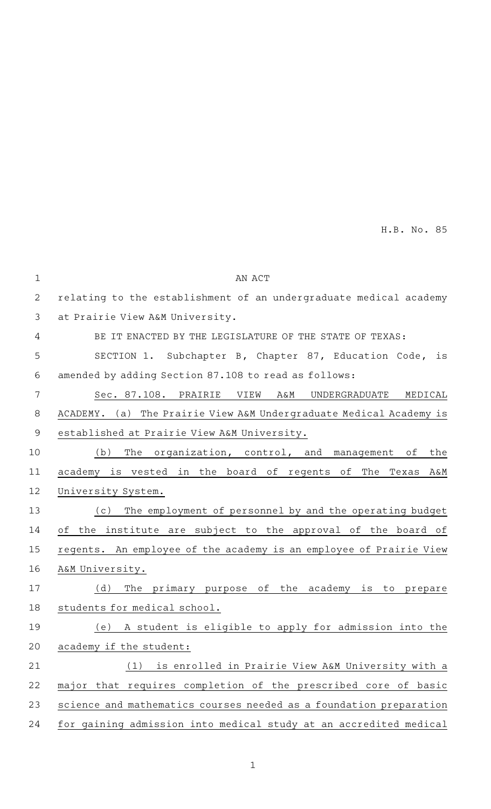H.B. No. 85

| $\mathbf 1$    | AN ACT                                                             |
|----------------|--------------------------------------------------------------------|
| $\overline{2}$ | relating to the establishment of an undergraduate medical academy  |
| 3              | at Prairie View A&M University.                                    |
| 4              | BE IT ENACTED BY THE LEGISLATURE OF THE STATE OF TEXAS:            |
| 5              | SECTION 1. Subchapter B, Chapter 87, Education Code,<br>is         |
| 6              | amended by adding Section 87.108 to read as follows:               |
| 7              | Sec. 87.108. PRAIRIE<br>VIEW A&M<br>UNDERGRADUATE<br>MEDICAL       |
| 8              | ACADEMY. (a) The Prairie View A&M Undergraduate Medical Academy is |
| $\mathsf 9$    | established at Prairie View A&M University.                        |
| 10             | The organization, control, and management<br>(b)<br>the<br>of      |
| 11             | academy is vested in the board of regents of The Texas A&M         |
| 12             | University System.                                                 |
| 13             | The employment of personnel by and the operating budget<br>(c)     |
| 14             | of the institute are subject to the approval of the board of       |
| 15             | regents. An employee of the academy is an employee of Prairie View |
| 16             | A&M University.                                                    |
| 17             | The primary purpose of the academy is to prepare<br>(d)            |
| 18             | students for medical school.                                       |
| 19             | A student is eligible to apply for admission into the<br>(e)       |
| 20             | academy if the student:                                            |
| 21             | (1)<br>is enrolled in Prairie View A&M University with a           |
| 22             | major that requires completion of the prescribed core of basic     |
| 23             | science and mathematics courses needed as a foundation preparation |
| 24             | for gaining admission into medical study at an accredited medical  |

1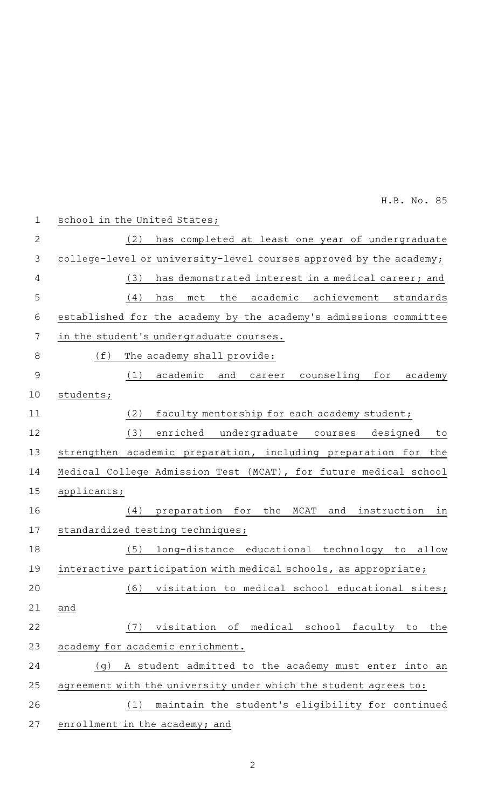H.B. No. 85

| $1\,$          | school in the United States;                                       |
|----------------|--------------------------------------------------------------------|
| $\mathbf{2}$   | (2)<br>has completed at least one year of undergraduate            |
| $\mathfrak{Z}$ | college-level or university-level courses approved by the academy; |
| 4              | has demonstrated interest in a medical career; and<br>(3)          |
| 5              | the academic achievement standards<br>(4)<br>has<br>met            |
| 6              | established for the academy by the academy's admissions committee  |
| $\overline{7}$ | in the student's undergraduate courses.                            |
| $\,8\,$        | (f)<br>The academy shall provide:                                  |
| $\overline{9}$ | academic<br>(1)<br>and<br>career counseling<br>for<br>academy      |
| 10             | students;                                                          |
| 11             | faculty mentorship for each academy student;<br>(2)                |
| 12             | (3)<br>enriched undergraduate courses designed<br>to               |
| 13             | strengthen academic preparation, including preparation for the     |
| 14             | Medical College Admission Test (MCAT), for future medical school   |
| 15             | applicants;                                                        |
| 16             | the<br>(4)<br>preparation for<br>MCAT<br>and<br>instruction<br>in  |
| 17             | standardized testing techniques;                                   |
| 18             | (5)<br>long-distance educational technology to allow               |
| 19             | interactive participation with medical schools, as appropriate;    |
| 20             | visitation to medical school educational sites;<br>(6)             |
| 21             | and                                                                |
| 22             | visitation of medical school faculty to the<br>(7)                 |
| 23             | academy for academic enrichment.                                   |
| 24             | A student admitted to the academy must enter into an<br>(q)        |
| 25             | agreement with the university under which the student agrees to:   |
| 26             | maintain the student's eligibility for continued<br>(1)            |
| 27             | enrollment in the academy; and                                     |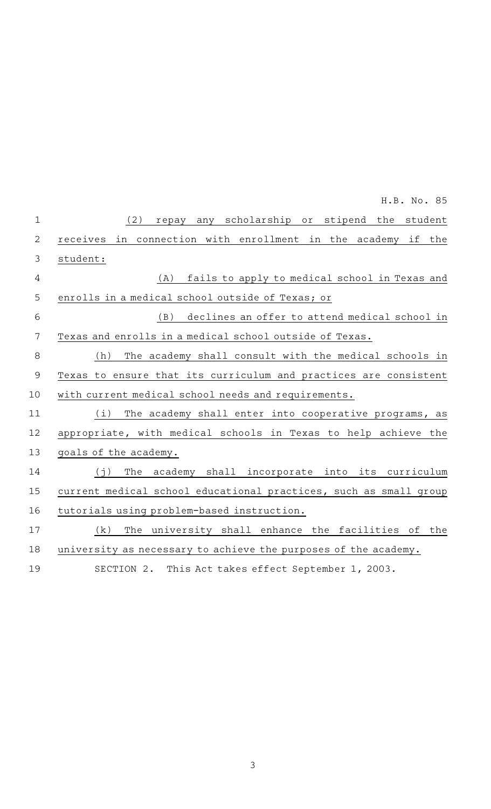|              | H.B. No. 85                                                       |
|--------------|-------------------------------------------------------------------|
| $\mathbf 1$  | (2)<br>repay any scholarship or stipend the student               |
| $\mathbf{2}$ | receives in connection with enrollment in the academy if the      |
| 3            | student:                                                          |
| 4            | fails to apply to medical school in Texas and<br>(A)              |
| 5            | enrolls in a medical school outside of Texas; or                  |
| 6            | declines an offer to attend medical school in<br>(B)              |
| 7            | Texas and enrolls in a medical school outside of Texas.           |
| $\,8\,$      | The academy shall consult with the medical schools in<br>(h)      |
| $\mathsf 9$  | Texas to ensure that its curriculum and practices are consistent  |
| 10           | with current medical school needs and requirements.               |
| 11           | (i)<br>The academy shall enter into cooperative programs, as      |
| 12           | appropriate, with medical schools in Texas to help achieve the    |
| 13           | goals of the academy.                                             |
| 14           | The academy shall incorporate into its curriculum<br>(j)          |
| 15           | current medical school educational practices, such as small group |
| 16           | tutorials using problem-based instruction.                        |
| 17           | The university shall enhance the facilities of the<br>(k)         |
| 18           | university as necessary to achieve the purposes of the academy.   |
| 19           | SECTION 2. This Act takes effect September 1, 2003.               |

3